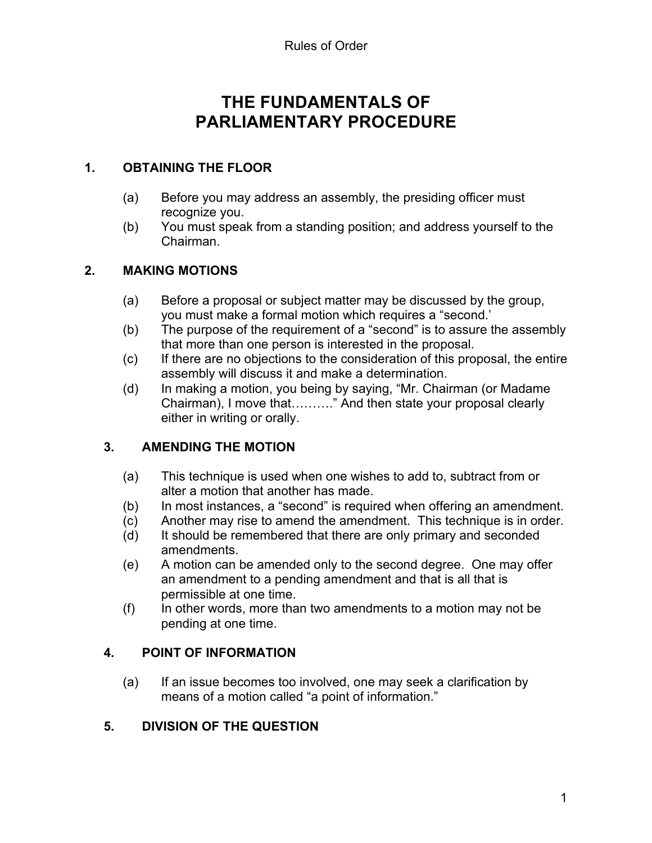# **THE FUNDAMENTALS OF PARLIAMENTARY PROCEDURE**

#### **1. OBTAINING THE FLOOR**

- (a) Before you may address an assembly, the presiding officer must recognize you.
- (b) You must speak from a standing position; and address yourself to the Chairman.

# **2. MAKING MOTIONS**

- (a) Before a proposal or subject matter may be discussed by the group, you must make a formal motion which requires a "second.'
- (b) The purpose of the requirement of a "second" is to assure the assembly that more than one person is interested in the proposal.
- (c) If there are no objections to the consideration of this proposal, the entire assembly will discuss it and make a determination.
- (d) In making a motion, you being by saying, "Mr. Chairman (or Madame Chairman), I move that………." And then state your proposal clearly either in writing or orally.

# **3. AMENDING THE MOTION**

- (a) This technique is used when one wishes to add to, subtract from or alter a motion that another has made.
- (b) In most instances, a "second" is required when offering an amendment.
- (c) Another may rise to amend the amendment. This technique is in order.
- (d) It should be remembered that there are only primary and seconded amendments.
- (e) A motion can be amended only to the second degree. One may offer an amendment to a pending amendment and that is all that is permissible at one time.
- (f) In other words, more than two amendments to a motion may not be pending at one time.

#### **4. POINT OF INFORMATION**

(a) If an issue becomes too involved, one may seek a clarification by means of a motion called "a point of information."

# **5. DIVISION OF THE QUESTION**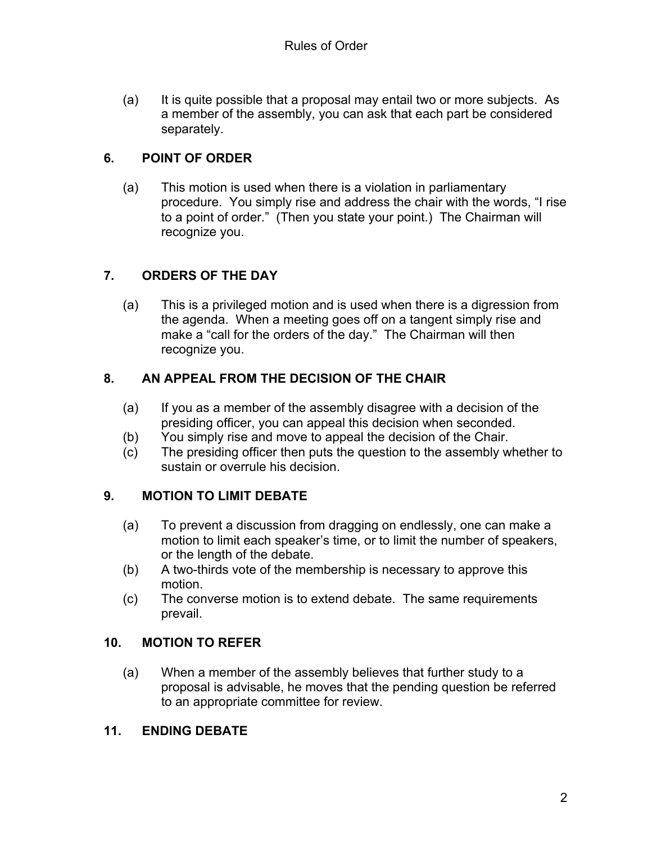(a) It is quite possible that a proposal may entail two or more subjects. As a member of the assembly, you can ask that each part be considered separately.

# **6. POINT OF ORDER**

(a) This motion is used when there is a violation in parliamentary procedure. You simply rise and address the chair with the words, "I rise to a point of order." (Then you state your point.) The Chairman will recognize you.

# **7. ORDERS OF THE DAY**

(a) This is a privileged motion and is used when there is a digression from the agenda. When a meeting goes off on a tangent simply rise and make a "call for the orders of the day." The Chairman will then recognize you.

# **8. AN APPEAL FROM THE DECISION OF THE CHAIR**

- (a) If you as a member of the assembly disagree with a decision of the presiding officer, you can appeal this decision when seconded.
- (b) You simply rise and move to appeal the decision of the Chair.
- (c) The presiding officer then puts the question to the assembly whether to sustain or overrule his decision.

# **9. MOTION TO LIMIT DEBATE**

- (a) To prevent a discussion from dragging on endlessly, one can make a motion to limit each speaker's time, or to limit the number of speakers, or the length of the debate.
- (b) A two-thirds vote of the membership is necessary to approve this motion.
- (c) The converse motion is to extend debate. The same requirements prevail.

# **10. MOTION TO REFER**

(a) When a member of the assembly believes that further study to a proposal is advisable, he moves that the pending question be referred to an appropriate committee for review.

# **11. ENDING DEBATE**